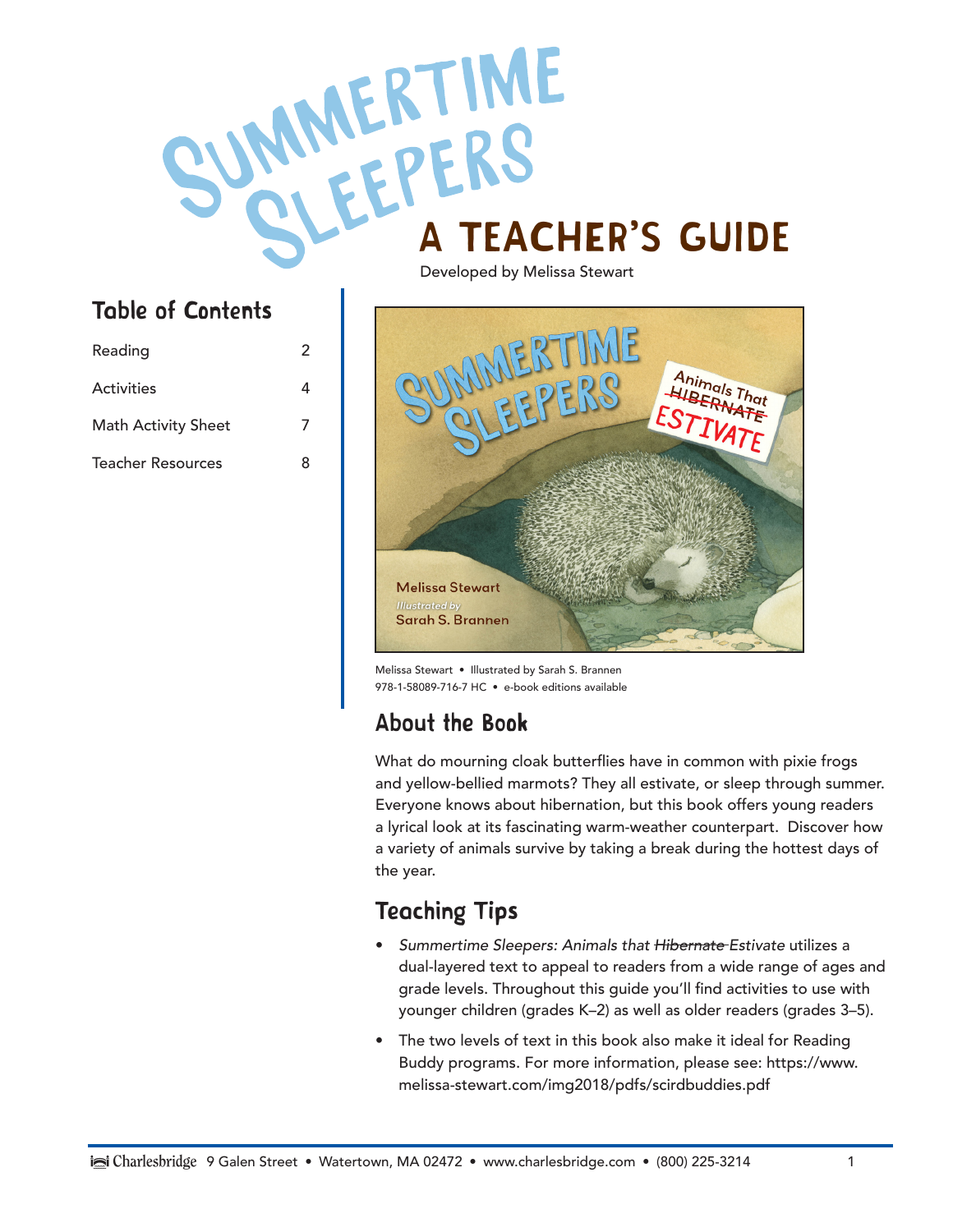# MANEK I IME

#### Table of Contents

| Reading                    | 2 |
|----------------------------|---|
| Activities                 | 4 |
| <b>Math Activity Sheet</b> | 7 |
| Teacher Resources          | 8 |

Developed by Melissa Stewart



Melissa Stewart • Illustrated by Sarah S. Brannen 978-1-58089-716-7 HC • e-book editions available

#### About the Book

What do mourning cloak butterflies have in common with pixie frogs and yellow-bellied marmots? They all estivate, or sleep through summer. Everyone knows about hibernation, but this book offers young readers a lyrical look at its fascinating warm-weather counterpart. Discover how a variety of animals survive by taking a break during the hottest days of the year.

#### Teaching Tips

- *Summertime Sleepers: Animals that Hibernate Estivate* utilizes a dual-layered text to appeal to readers from a wide range of ages and grade levels. Throughout this guide you'll find activities to use with younger children (grades K–2) as well as older readers (grades 3–5).
- The two levels of text in this book also make it ideal for Reading Buddy programs. For more information, please see: https://www. melissa-stewart.com/img2018/pdfs/scirdbuddies.pdf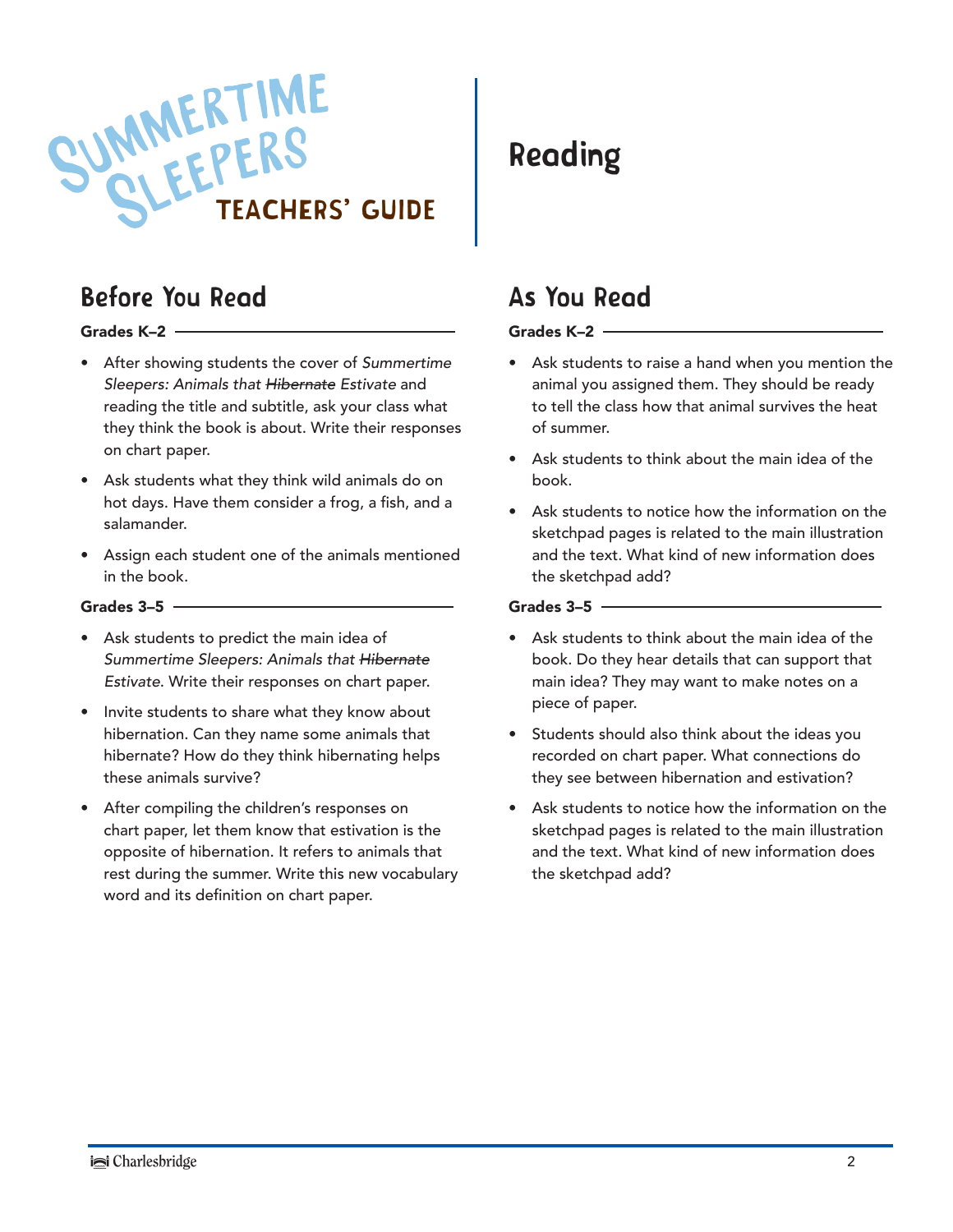

#### Before You Read

#### Grades K–2

- After showing students the cover of *Summertime Sleepers: Animals that Hibernate Estivate* and reading the title and subtitle, ask your class what they think the book is about. Write their responses on chart paper.
- Ask students what they think wild animals do on hot days. Have them consider a frog, a fish, and a salamander.
- Assign each student one of the animals mentioned in the book.

#### Grades  $3-5$  -

- Ask students to predict the main idea of *Summertime Sleepers: Animals that Hibernate Estivate*. Write their responses on chart paper.
- Invite students to share what they know about hibernation. Can they name some animals that hibernate? How do they think hibernating helps these animals survive?
- After compiling the children's responses on chart paper, let them know that estivation is the opposite of hibernation. It refers to animals that rest during the summer. Write this new vocabulary word and its definition on chart paper.

#### Reading

#### As You Read

#### Grades K–2

- Ask students to raise a hand when you mention the animal you assigned them. They should be ready to tell the class how that animal survives the heat of summer.
- Ask students to think about the main idea of the book.
- Ask students to notice how the information on the sketchpad pages is related to the main illustration and the text. What kind of new information does the sketchpad add?

#### Grades  $3-5$  –

- Ask students to think about the main idea of the book. Do they hear details that can support that main idea? They may want to make notes on a piece of paper.
- Students should also think about the ideas you recorded on chart paper. What connections do they see between hibernation and estivation?
- Ask students to notice how the information on the sketchpad pages is related to the main illustration and the text. What kind of new information does the sketchpad add?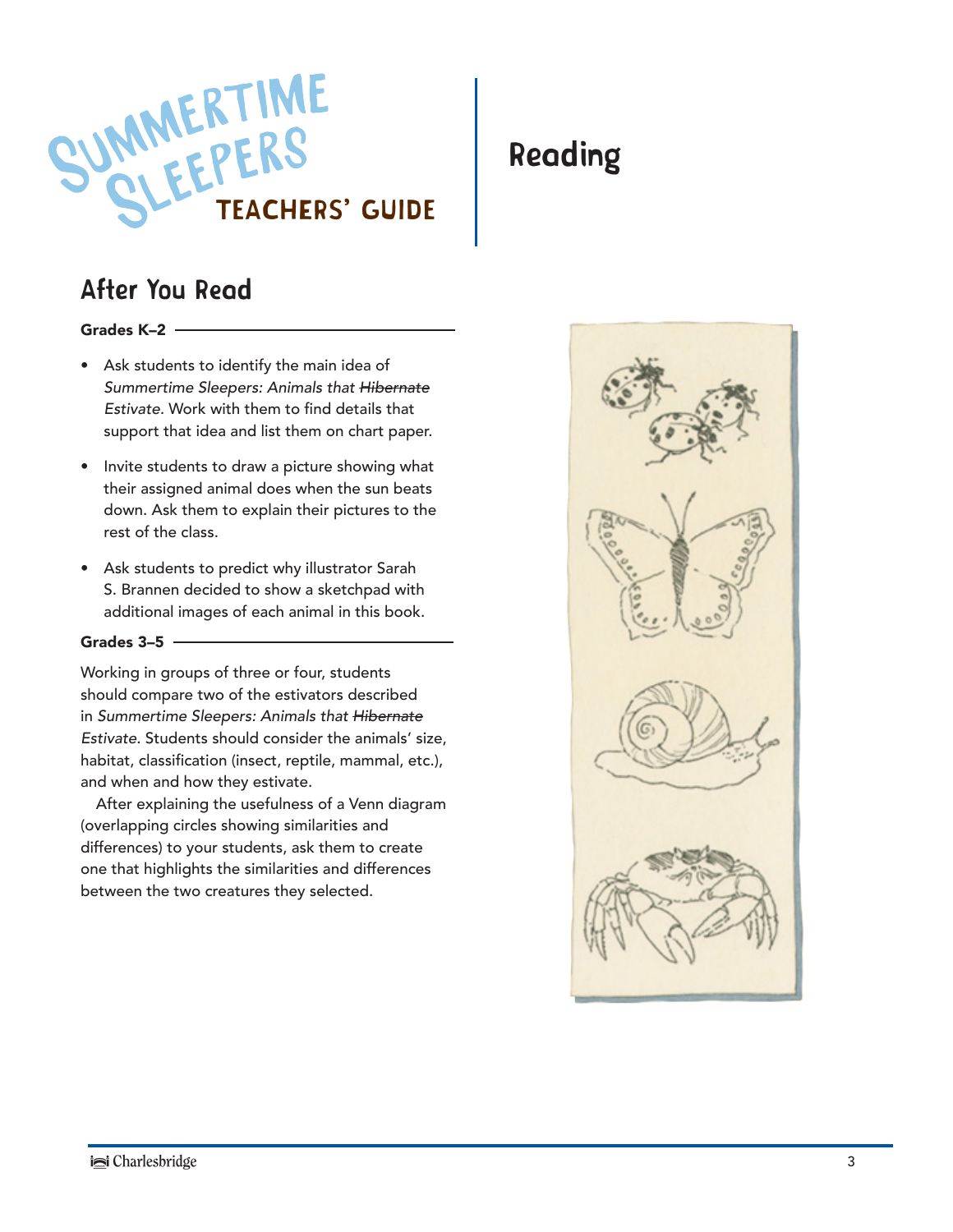

#### After You Read

#### Grades K–2

- Ask students to identify the main idea of *Summertime Sleepers: Animals that Hibernate Estivate.* Work with them to find details that support that idea and list them on chart paper.
- Invite students to draw a picture showing what their assigned animal does when the sun beats down. Ask them to explain their pictures to the rest of the class.
- Ask students to predict why illustrator Sarah S. Brannen decided to show a sketchpad with additional images of each animal in this book.

#### Grades 3–5

Working in groups of three or four, students should compare two of the estivators described in *Summertime Sleepers: Animals that Hibernate Estivate*. Students should consider the animals' size, habitat, classification (insect, reptile, mammal, etc.), and when and how they estivate.

After explaining the usefulness of a Venn diagram (overlapping circles showing similarities and differences) to your students, ask them to create one that highlights the similarities and differences between the two creatures they selected.

#### Reading

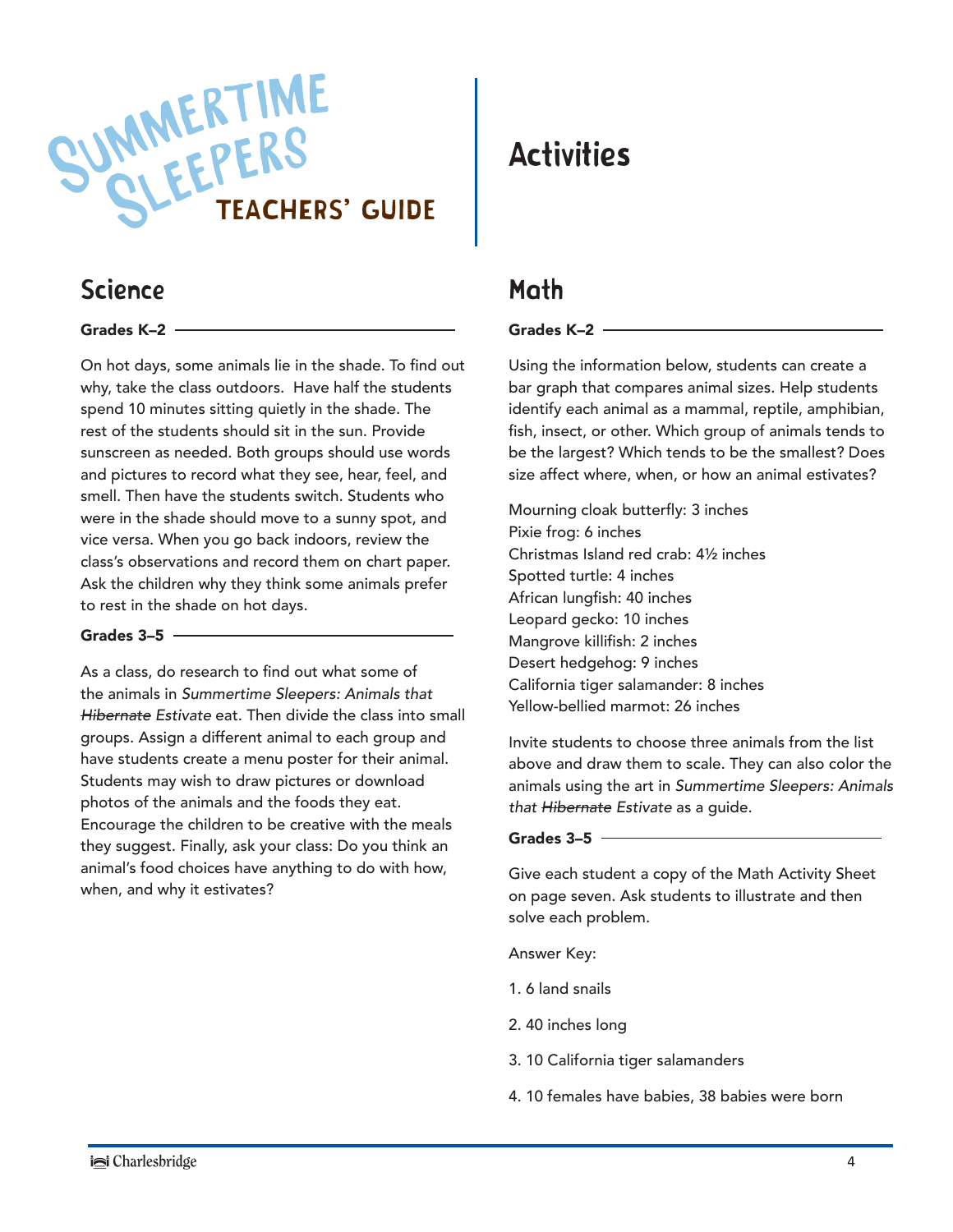

#### Science

#### Grades K–2

On hot days, some animals lie in the shade. To find out why, take the class outdoors. Have half the students spend 10 minutes sitting quietly in the shade. The rest of the students should sit in the sun. Provide sunscreen as needed. Both groups should use words and pictures to record what they see, hear, feel, and smell. Then have the students switch. Students who were in the shade should move to a sunny spot, and vice versa. When you go back indoors, review the class's observations and record them on chart paper. Ask the children why they think some animals prefer to rest in the shade on hot days.

#### Grades  $3-5$  –

As a class, do research to find out what some of the animals in *Summertime Sleepers: Animals that Hibernate Estivate* eat. Then divide the class into small groups. Assign a different animal to each group and have students create a menu poster for their animal. Students may wish to draw pictures or download photos of the animals and the foods they eat. Encourage the children to be creative with the meals they suggest. Finally, ask your class: Do you think an animal's food choices have anything to do with how, when, and why it estivates?

#### Activities

#### Math

#### Grades K–2

Using the information below, students can create a bar graph that compares animal sizes. Help students identify each animal as a mammal, reptile, amphibian, fish, insect, or other. Which group of animals tends to be the largest? Which tends to be the smallest? Does size affect where, when, or how an animal estivates?

Mourning cloak butterfly: 3 inches Pixie frog: 6 inches Christmas Island red crab: 4½ inches Spotted turtle: 4 inches African lungfish: 40 inches Leopard gecko: 10 inches Mangrove killifish: 2 inches Desert hedgehog: 9 inches California tiger salamander: 8 inches Yellow-bellied marmot: 26 inches

Invite students to choose three animals from the list above and draw them to scale. They can also color the animals using the art in *Summertime Sleepers: Animals that Hibernate Estivate* as a guide.

#### Grades 3–5

Give each student a copy of the Math Activity Sheet on page seven. Ask students to illustrate and then solve each problem.

Answer Key:

- 1. 6 land snails
- 2. 40 inches long
- 3. 10 California tiger salamanders
- 4. 10 females have babies, 38 babies were born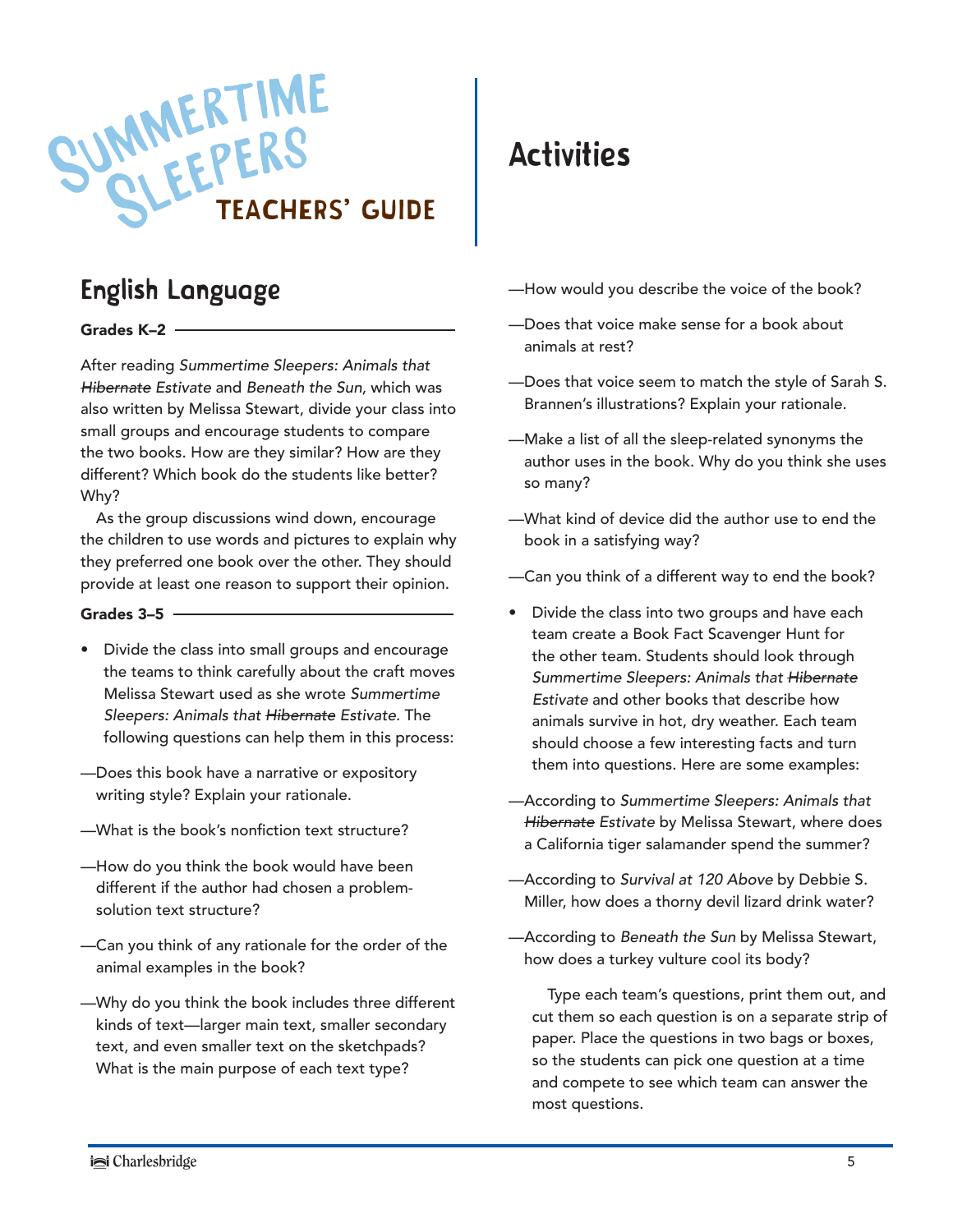

#### English Language

#### Grades K–2

After reading *Summertime Sleepers: Animals that Hibernate Estivate* and *Beneath the Sun,* which was also written by Melissa Stewart, divide your class into small groups and encourage students to compare the two books. How are they similar? How are they different? Which book do the students like better? Why?

As the group discussions wind down, encourage the children to use words and pictures to explain why they preferred one book over the other. They should provide at least one reason to support their opinion.

#### Grades 3–5

- Divide the class into small groups and encourage the teams to think carefully about the craft moves Melissa Stewart used as she wrote *Summertime Sleepers: Animals that Hibernate Estivate*. The following questions can help them in this process:
- —Does this book have a narrative or expository writing style? Explain your rationale.
- —What is the book's nonfiction text structure?
- —How do you think the book would have been different if the author had chosen a problemsolution text structure?
- —Can you think of any rationale for the order of the animal examples in the book?
- —Why do you think the book includes three different kinds of text—larger main text, smaller secondary text, and even smaller text on the sketchpads? What is the main purpose of each text type?

#### Activities

- —How would you describe the voice of the book?
- —Does that voice make sense for a book about animals at rest?
- —Does that voice seem to match the style of Sarah S. Brannen's illustrations? Explain your rationale.
- —Make a list of all the sleep-related synonyms the author uses in the book. Why do you think she uses so many?
- —What kind of device did the author use to end the book in a satisfying way?
- —Can you think of a different way to end the book?
- Divide the class into two groups and have each team create a Book Fact Scavenger Hunt for the other team. Students should look through *Summertime Sleepers: Animals that Hibernate Estivate* and other books that describe how animals survive in hot, dry weather. Each team should choose a few interesting facts and turn them into questions. Here are some examples:
- —According to *Summertime Sleepers: Animals that Hibernate Estivate* by Melissa Stewart, where does a California tiger salamander spend the summer?
- —According to *Survival at 120 Above* by Debbie S. Miller, how does a thorny devil lizard drink water?
- —According to *Beneath the Sun* by Melissa Stewart, how does a turkey vulture cool its body?

 Type each team's questions, print them out, and cut them so each question is on a separate strip of paper. Place the questions in two bags or boxes, so the students can pick one question at a time and compete to see which team can answer the most questions.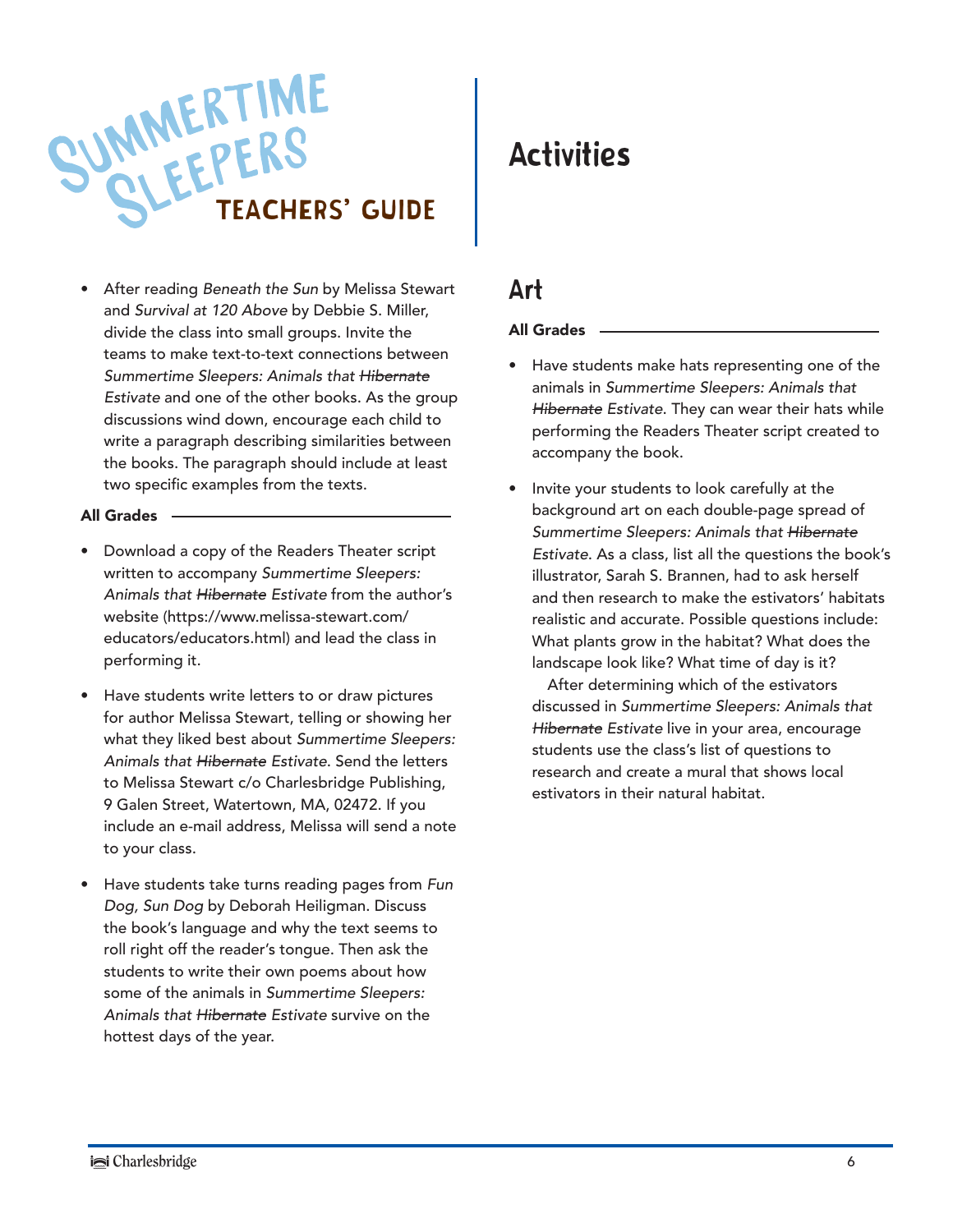

• After reading *Beneath the Sun* by Melissa Stewart and *Survival at 120 Above* by Debbie S. Miller, divide the class into small groups. Invite the teams to make text-to-text connections between *Summertime Sleepers: Animals that Hibernate Estivate* and one of the other books. As the group discussions wind down, encourage each child to write a paragraph describing similarities between the books. The paragraph should include at least two specific examples from the texts.

#### All Grades

- Download a copy of the Readers Theater script written to accompany *Summertime Sleepers: Animals that Hibernate Estivate* from the author's website (https://www.melissa-stewart.com/ educators/educators.html) and lead the class in performing it.
- Have students write letters to or draw pictures for author Melissa Stewart, telling or showing her what they liked best about *Summertime Sleepers: Animals that Hibernate Estivate*. Send the letters to Melissa Stewart c/o Charlesbridge Publishing, 9 Galen Street, Watertown, MA, 02472. If you include an e-mail address, Melissa will send a note to your class.
- Have students take turns reading pages from *Fun Dog, Sun Dog* by Deborah Heiligman. Discuss the book's language and why the text seems to roll right off the reader's tongue. Then ask the students to write their own poems about how some of the animals in *Summertime Sleepers: Animals that Hibernate Estivate* survive on the hottest days of the year.

#### Activities

#### Art

#### All Grades

- Have students make hats representing one of the animals in *Summertime Sleepers: Animals that Hibernate Estivate*. They can wear their hats while performing the Readers Theater script created to accompany the book.
- Invite your students to look carefully at the background art on each double-page spread of *Summertime Sleepers: Animals that Hibernate Estivate*. As a class, list all the questions the book's illustrator, Sarah S. Brannen, had to ask herself and then research to make the estivators' habitats realistic and accurate. Possible questions include: What plants grow in the habitat? What does the landscape look like? What time of day is it?

 After determining which of the estivators discussed in *Summertime Sleepers: Animals that Hibernate Estivate* live in your area, encourage students use the class's list of questions to research and create a mural that shows local estivators in their natural habitat.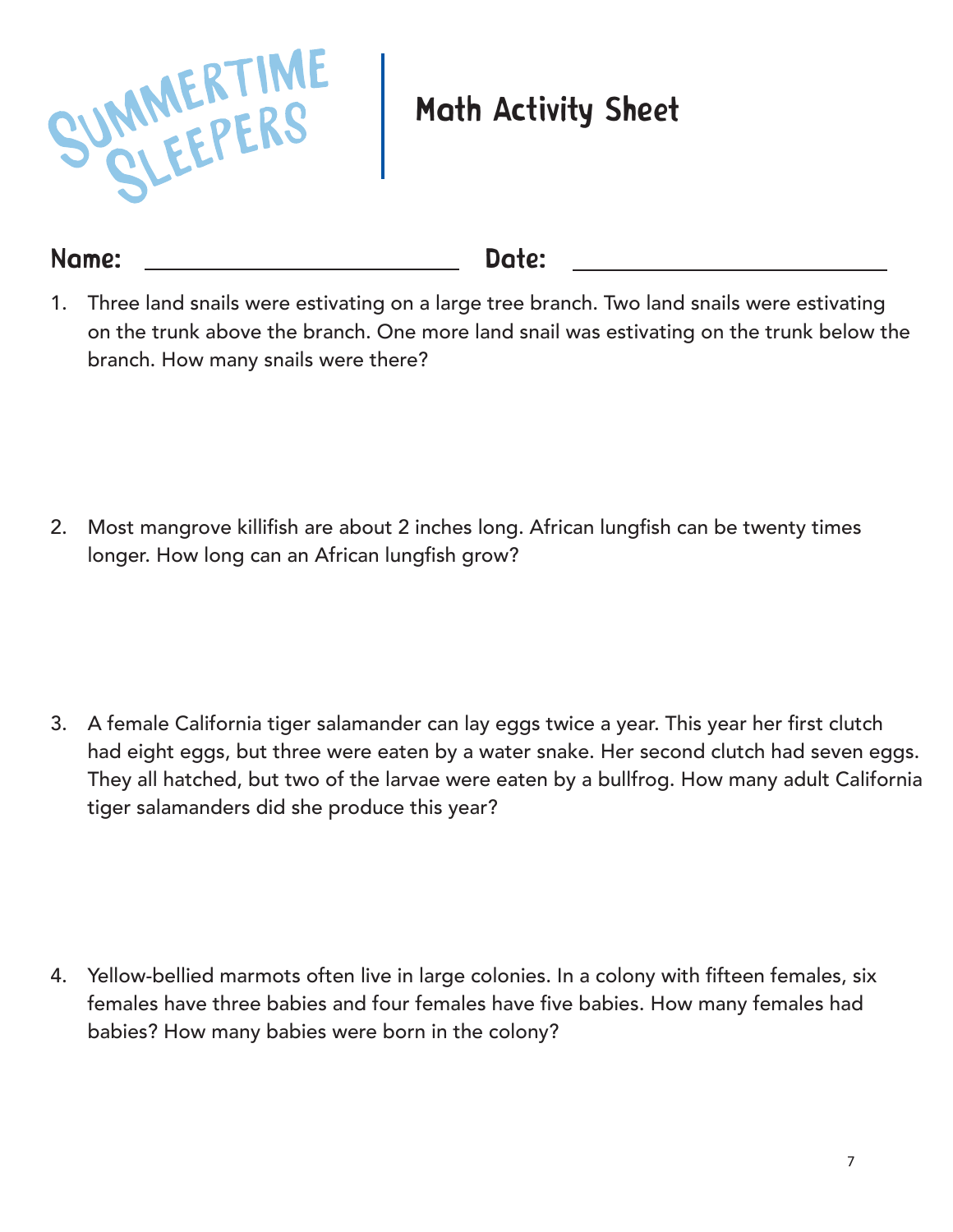

### Math Activity Sheet

Name: Date:

1. Three land snails were estivating on a large tree branch. Two land snails were estivating on the trunk above the branch. One more land snail was estivating on the trunk below the branch. How many snails were there?

2. Most mangrove killifish are about 2 inches long. African lungfish can be twenty times longer. How long can an African lungfish grow?

3. A female California tiger salamander can lay eggs twice a year. This year her first clutch had eight eggs, but three were eaten by a water snake. Her second clutch had seven eggs. They all hatched, but two of the larvae were eaten by a bullfrog. How many adult California tiger salamanders did she produce this year?

4. Yellow-bellied marmots often live in large colonies. In a colony with fifteen females, six females have three babies and four females have five babies. How many females had babies? How many babies were born in the colony?